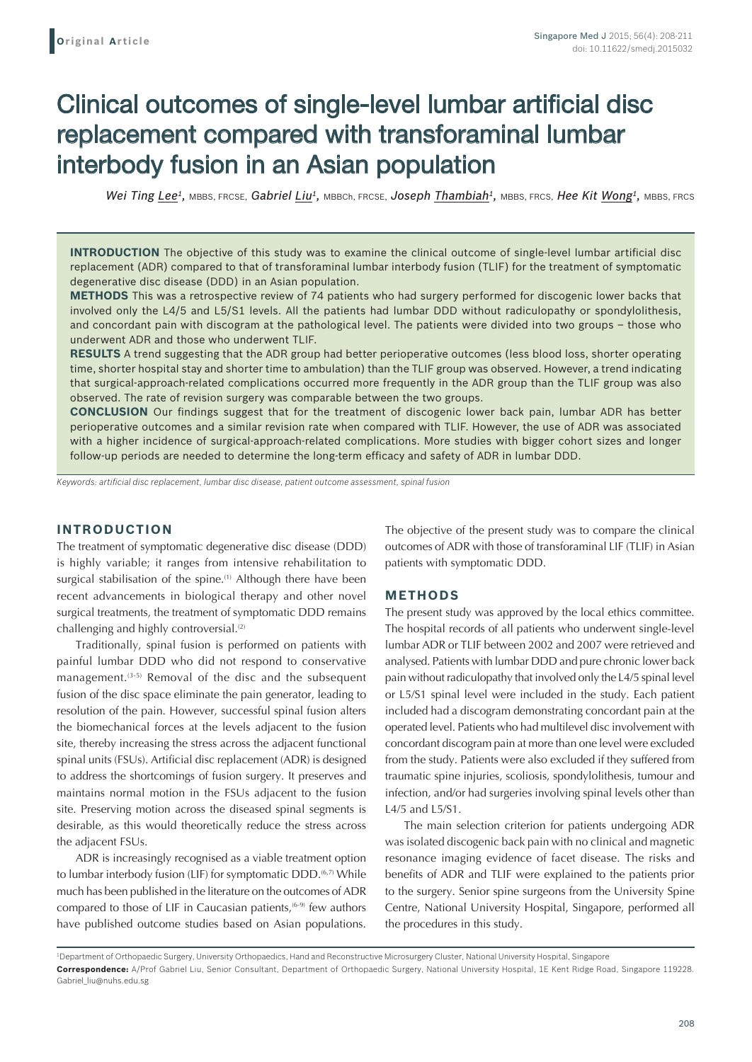# Clinical outcomes of single-level lumbar artificial disc replacement compared with transforaminal lumbar interbody fusion in an Asian population

*Wei Ting Lee1,* MBBS, FRCSE, *Gabriel Liu1,* MBBCh, FRCSE, *Joseph Thambiah1,* MBBS, FRCS, *Hee Kit Wong1,* MBBS, FRCS

**INTRODUCTION** The objective of this study was to examine the clinical outcome of single-level lumbar artificial disc replacement (ADR) compared to that of transforaminal lumbar interbody fusion (TLIF) for the treatment of symptomatic degenerative disc disease (DDD) in an Asian population.

**METHODS** This was a retrospective review of 74 patients who had surgery performed for discogenic lower backs that involved only the L4/5 and L5/S1 levels. All the patients had lumbar DDD without radiculopathy or spondylolithesis, and concordant pain with discogram at the pathological level. The patients were divided into two groups – those who underwent ADR and those who underwent TLIF.

**RESULTS** A trend suggesting that the ADR group had better perioperative outcomes (less blood loss, shorter operating time, shorter hospital stay and shorter time to ambulation) than the TLIF group was observed. However, a trend indicating that surgical-approach-related complications occurred more frequently in the ADR group than the TLIF group was also observed. The rate of revision surgery was comparable between the two groups.

**CONCLUSION** Our findings suggest that for the treatment of discogenic lower back pain, lumbar ADR has better perioperative outcomes and a similar revision rate when compared with TLIF. However, the use of ADR was associated with a higher incidence of surgical-approach-related complications. More studies with bigger cohort sizes and longer follow-up periods are needed to determine the long-term efficacy and safety of ADR in lumbar DDD.

*Keywords: artificial disc replacement, lumbar disc disease, patient outcome assessment, spinal fusion*

## **INTRODUCTION**

The treatment of symptomatic degenerative disc disease (DDD) is highly variable; it ranges from intensive rehabilitation to surgical stabilisation of the spine.<sup>(1)</sup> Although there have been recent advancements in biological therapy and other novel surgical treatments, the treatment of symptomatic DDD remains challenging and highly controversial.<sup>(2)</sup>

Traditionally, spinal fusion is performed on patients with painful lumbar DDD who did not respond to conservative management.(3-5) Removal of the disc and the subsequent fusion of the disc space eliminate the pain generator, leading to resolution of the pain. However, successful spinal fusion alters the biomechanical forces at the levels adjacent to the fusion site, thereby increasing the stress across the adjacent functional spinal units (FSUs). Artificial disc replacement (ADR) is designed to address the shortcomings of fusion surgery. It preserves and maintains normal motion in the FSUs adjacent to the fusion site. Preserving motion across the diseased spinal segments is desirable, as this would theoretically reduce the stress across the adjacent FSUs.

ADR is increasingly recognised as a viable treatment option to lumbar interbody fusion (LIF) for symptomatic DDD.<sup>(6,7)</sup> While much has been published in the literature on the outcomes of ADR compared to those of LIF in Caucasian patients,<sup>(6-9)</sup> few authors have published outcome studies based on Asian populations. The objective of the present study was to compare the clinical outcomes of ADR with those of transforaminal LIF (TLIF) in Asian patients with symptomatic DDD.

### **METHODS**

The present study was approved by the local ethics committee. The hospital records of all patients who underwent single-level lumbar ADR or TLIF between 2002 and 2007 were retrieved and analysed. Patients with lumbar DDD and pure chronic lower back pain without radiculopathy that involved only the L4/5 spinal level or L5/S1 spinal level were included in the study. Each patient included had a discogram demonstrating concordant pain at the operated level. Patients who had multilevel disc involvement with concordant discogram pain at more than one level were excluded from the study. Patients were also excluded if they suffered from traumatic spine injuries, scoliosis, spondylolithesis, tumour and infection, and/or had surgeries involving spinal levels other than L4/5 and L5/S1.

The main selection criterion for patients undergoing ADR was isolated discogenic back pain with no clinical and magnetic resonance imaging evidence of facet disease. The risks and benefits of ADR and TLIF were explained to the patients prior to the surgery. Senior spine surgeons from the University Spine Centre, National University Hospital, Singapore, performed all the procedures in this study.

<sup>1</sup> Department of Orthopaedic Surgery, University Orthopaedics, Hand and Reconstructive Microsurgery Cluster, National University Hospital, Singapore **Correspondence:** A/Prof Gabriel Liu, Senior Consultant, Department of Orthopaedic Surgery, National University Hospital, 1E Kent Ridge Road, Singapore 119228. Gabriel\_liu@nuhs.edu.sg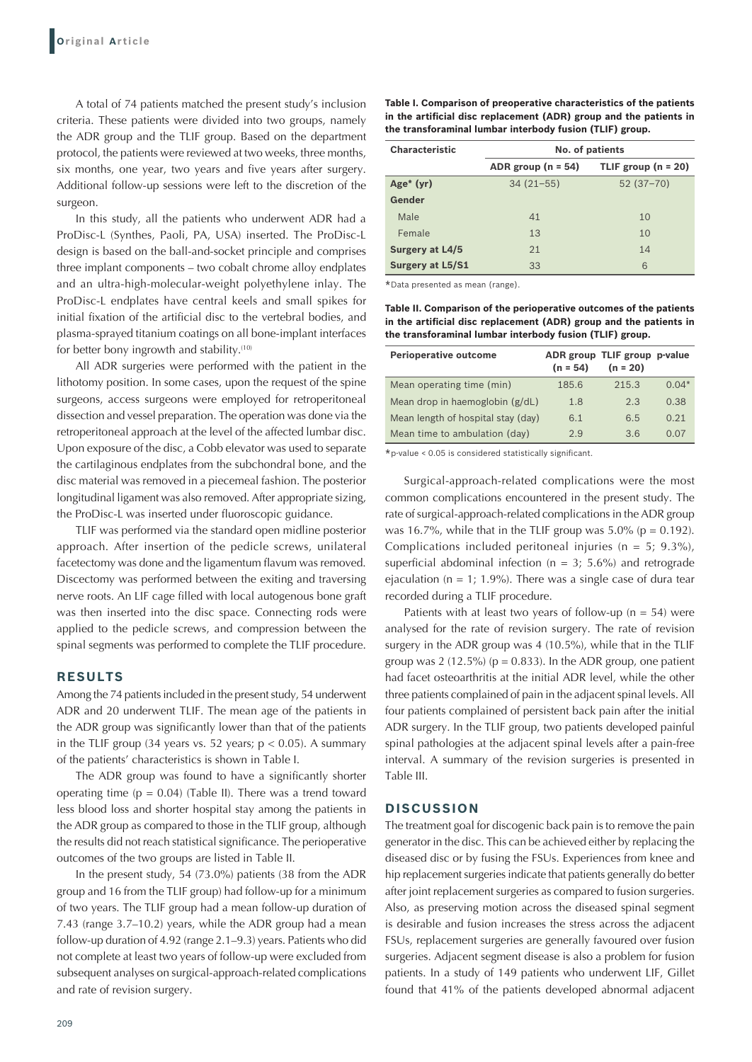A total of 74 patients matched the present study's inclusion criteria. These patients were divided into two groups, namely the ADR group and the TLIF group. Based on the department protocol, the patients were reviewed at two weeks, three months, six months, one year, two years and five years after surgery. Additional follow-up sessions were left to the discretion of the surgeon.

In this study, all the patients who underwent ADR had a ProDisc-L (Synthes, Paoli, PA, USA) inserted. The ProDisc-L design is based on the ball-and-socket principle and comprises three implant components – two cobalt chrome alloy endplates and an ultra-high-molecular-weight polyethylene inlay. The ProDisc-L endplates have central keels and small spikes for initial fixation of the artificial disc to the vertebral bodies, and plasma-sprayed titanium coatings on all bone-implant interfaces for better bony ingrowth and stability.<sup>(10)</sup>

All ADR surgeries were performed with the patient in the lithotomy position. In some cases, upon the request of the spine surgeons, access surgeons were employed for retroperitoneal dissection and vessel preparation. The operation was done via the retroperitoneal approach at the level of the affected lumbar disc. Upon exposure of the disc, a Cobb elevator was used to separate the cartilaginous endplates from the subchondral bone, and the disc material was removed in a piecemeal fashion. The posterior longitudinal ligament was also removed. After appropriate sizing, the ProDisc-L was inserted under fluoroscopic guidance.

TLIF was performed via the standard open midline posterior approach. After insertion of the pedicle screws, unilateral facetectomy was done and the ligamentum flavum was removed. Discectomy was performed between the exiting and traversing nerve roots. An LIF cage filled with local autogenous bone graft was then inserted into the disc space. Connecting rods were applied to the pedicle screws, and compression between the spinal segments was performed to complete the TLIF procedure.

### **RESULTS**

Among the 74 patients included in the present study, 54 underwent ADR and 20 underwent TLIF. The mean age of the patients in the ADR group was significantly lower than that of the patients in the TLIF group (34 years vs. 52 years;  $p < 0.05$ ). A summary of the patients' characteristics is shown in Table I.

The ADR group was found to have a significantly shorter operating time  $(p = 0.04)$  (Table II). There was a trend toward less blood loss and shorter hospital stay among the patients in the ADR group as compared to those in the TLIF group, although the results did not reach statistical significance. The perioperative outcomes of the two groups are listed in Table II.

In the present study, 54 (73.0%) patients (38 from the ADR group and 16 from the TLIF group) had follow-up for a minimum of two years. The TLIF group had a mean follow-up duration of 7.43 (range 3.7–10.2) years, while the ADR group had a mean follow-up duration of 4.92 (range 2.1–9.3) years. Patients who did not complete at least two years of follow-up were excluded from subsequent analyses on surgical-approach-related complications and rate of revision surgery.

| Table I. Comparison of preoperative characteristics of the patients |
|---------------------------------------------------------------------|
| in the artificial disc replacement (ADR) group and the patients in  |
| the transforaminal lumbar interbody fusion (TLIF) group.            |

| <b>Characteristic</b>   | No. of patients      |                       |  |  |
|-------------------------|----------------------|-----------------------|--|--|
|                         | ADR group $(n = 54)$ | TLIF group $(n = 20)$ |  |  |
| $Age* (yr)$             | $34(21-55)$          | $52(37-70)$           |  |  |
| Gender                  |                      |                       |  |  |
| Male                    | 41                   | 10                    |  |  |
| Female                  | 1.3                  | 10                    |  |  |
| <b>Surgery at L4/5</b>  | 21                   | 14                    |  |  |
| <b>Surgery at L5/S1</b> | 33                   | 6                     |  |  |

\*Data presented as mean (range).

**Table II. Comparison of the perioperative outcomes of the patients in the artificial disc replacement (ADR) group and the patients in the transforaminal lumbar interbody fusion (TLIF) group.**

| <b>Perioperative outcome</b>       | $(n = 54)$ | ADR group TLIF group p-value<br>$(n = 20)$ |         |
|------------------------------------|------------|--------------------------------------------|---------|
| Mean operating time (min)          | 185.6      | 215.3                                      | $0.04*$ |
| Mean drop in haemoglobin (g/dL)    | 1.8        | 2.3                                        | 0.38    |
| Mean length of hospital stay (day) | 6.1        | 6.5                                        | 0.21    |
| Mean time to ambulation (day)      | 2.9        | 3.6                                        | 0.07    |

\*p-value < 0.05 is considered statistically significant.

Surgical-approach-related complications were the most common complications encountered in the present study. The rate of surgical-approach-related complications in the ADR group was 16.7%, while that in the TLIF group was  $5.0\%$  (p = 0.192). Complications included peritoneal injuries ( $n = 5$ ; 9.3%), superficial abdominal infection ( $n = 3$ ; 5.6%) and retrograde ejaculation ( $n = 1$ ; 1.9%). There was a single case of dura tear recorded during a TLIF procedure.

Patients with at least two years of follow-up ( $n = 54$ ) were analysed for the rate of revision surgery. The rate of revision surgery in the ADR group was 4 (10.5%), while that in the TLIF group was 2 (12.5%) ( $p = 0.833$ ). In the ADR group, one patient had facet osteoarthritis at the initial ADR level, while the other three patients complained of pain in the adjacent spinal levels. All four patients complained of persistent back pain after the initial ADR surgery. In the TLIF group, two patients developed painful spinal pathologies at the adjacent spinal levels after a pain-free interval. A summary of the revision surgeries is presented in Table III.

#### **DISCUSSION**

The treatment goal for discogenic back pain is to remove the pain generator in the disc. This can be achieved either by replacing the diseased disc or by fusing the FSUs. Experiences from knee and hip replacement surgeries indicate that patients generally do better after joint replacement surgeries as compared to fusion surgeries. Also, as preserving motion across the diseased spinal segment is desirable and fusion increases the stress across the adjacent FSUs, replacement surgeries are generally favoured over fusion surgeries. Adjacent segment disease is also a problem for fusion patients. In a study of 149 patients who underwent LIF, Gillet found that 41% of the patients developed abnormal adjacent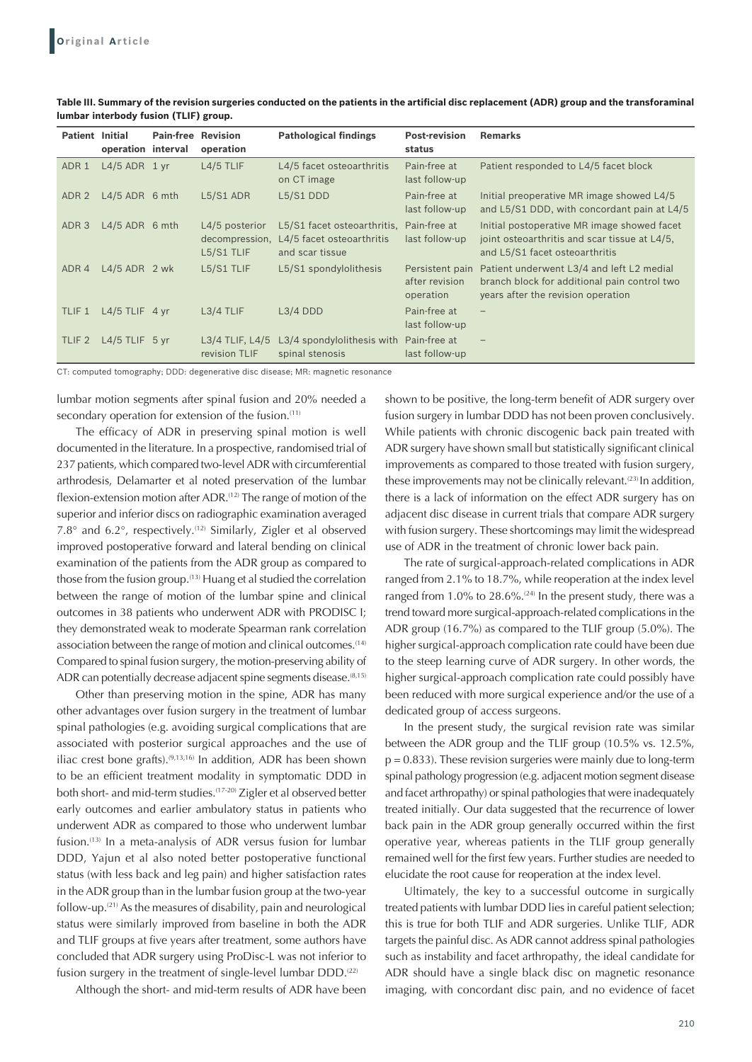|                   | <b>Patient Initial</b><br>operation interval | <b>Pain-free Revision</b><br>operation         | <b>Pathological findings</b>                                                | <b>Post-revision</b><br>status                 | <b>Remarks</b>                                                                                                                  |
|-------------------|----------------------------------------------|------------------------------------------------|-----------------------------------------------------------------------------|------------------------------------------------|---------------------------------------------------------------------------------------------------------------------------------|
| ADR 1             | $L4/5$ ADR $1$ yr                            | $L4/5$ TLIF                                    | L4/5 facet osteoarthritis<br>on CT image                                    | Pain-free at<br>last follow-up                 | Patient responded to L4/5 facet block                                                                                           |
| ADR <sub>2</sub>  | $L4/5$ ADR 6 mth                             | L5/S1 ADR                                      | $L5/S1$ DDD                                                                 | Pain-free at<br>last follow-up                 | Initial preoperative MR image showed L4/5<br>and $L5/S1$ DDD, with concordant pain at $L4/5$                                    |
| ADR <sub>3</sub>  | $L4/5$ ADR 6 mth                             | L4/5 posterior<br>decompression,<br>L5/S1 TLIF | L5/S1 facet osteoarthritis,<br>L4/5 facet osteoarthritis<br>and scar tissue | Pain-free at<br>last follow-up                 | Initial postoperative MR image showed facet<br>joint osteoarthritis and scar tissue at L4/5,<br>and L5/S1 facet osteoarthritis  |
| ADR 4             | $L4/5$ ADR $2$ wk                            | L5/S1 TLIF                                     | L5/S1 spondylolithesis                                                      | Persistent pain<br>after revision<br>operation | Patient underwent L3/4 and left L2 medial<br>branch block for additional pain control two<br>years after the revision operation |
| TLIF <sub>1</sub> | L4/5 TLIF $4yr$                              | $L3/4$ TLIF                                    | $L3/4$ DDD                                                                  | Pain-free at<br>last follow-up                 | $\qquad \qquad -$                                                                                                               |
| TLIF <sub>2</sub> | L4/5 TLIF $5$ yr                             | $L3/4$ TLIF, $L4/5$<br>revision TLIF           | L3/4 spondylolithesis with<br>spinal stenosis                               | Pain-free at<br>last follow-up                 |                                                                                                                                 |

**Table III. Summary of the revision surgeries conducted on the patients in the artificial disc replacement (ADR) group and the transforaminal lumbar interbody fusion (TLIF) group.**

CT: computed tomography; DDD: degenerative disc disease; MR: magnetic resonance

lumbar motion segments after spinal fusion and 20% needed a secondary operation for extension of the fusion.<sup>(11)</sup>

The efficacy of ADR in preserving spinal motion is well documented in the literature. In a prospective, randomised trial of 237 patients, which compared two-level ADR with circumferential arthrodesis, Delamarter et al noted preservation of the lumbar flexion-extension motion after ADR.<sup>(12)</sup> The range of motion of the superior and inferior discs on radiographic examination averaged 7.8 $\degree$  and 6.2 $\degree$ , respectively.<sup>(12)</sup> Similarly, Zigler et al observed improved postoperative forward and lateral bending on clinical examination of the patients from the ADR group as compared to those from the fusion group.(13) Huang et al studied the correlation between the range of motion of the lumbar spine and clinical outcomes in 38 patients who underwent ADR with PRODISC I; they demonstrated weak to moderate Spearman rank correlation association between the range of motion and clinical outcomes.<sup>(14)</sup> Compared to spinal fusion surgery, the motion-preserving ability of ADR can potentially decrease adjacent spine segments disease.<sup>(8,15)</sup>

Other than preserving motion in the spine, ADR has many other advantages over fusion surgery in the treatment of lumbar spinal pathologies (e.g. avoiding surgical complications that are associated with posterior surgical approaches and the use of iliac crest bone grafts).<sup>(9,13,16)</sup> In addition, ADR has been shown to be an efficient treatment modality in symptomatic DDD in both short- and mid-term studies.(17-20) Zigler et al observed better early outcomes and earlier ambulatory status in patients who underwent ADR as compared to those who underwent lumbar fusion.<sup>(13)</sup> In a meta-analysis of ADR versus fusion for lumbar DDD, Yajun et al also noted better postoperative functional status (with less back and leg pain) and higher satisfaction rates in the ADR group than in the lumbar fusion group at the two-year follow-up.<sup>(21)</sup> As the measures of disability, pain and neurological status were similarly improved from baseline in both the ADR and TLIF groups at five years after treatment, some authors have concluded that ADR surgery using ProDisc-L was not inferior to fusion surgery in the treatment of single-level lumbar DDD.<sup>(22)</sup>

Although the short- and mid-term results of ADR have been

shown to be positive, the long-term benefit of ADR surgery over fusion surgery in lumbar DDD has not been proven conclusively. While patients with chronic discogenic back pain treated with ADR surgery have shown small but statistically significant clinical improvements as compared to those treated with fusion surgery, these improvements may not be clinically relevant.<sup>(23)</sup> In addition, there is a lack of information on the effect ADR surgery has on adjacent disc disease in current trials that compare ADR surgery with fusion surgery. These shortcomings may limit the widespread use of ADR in the treatment of chronic lower back pain.

The rate of surgical-approach-related complications in ADR ranged from 2.1% to 18.7%, while reoperation at the index level ranged from 1.0% to 28.6%.<sup> $(24)$ </sup> In the present study, there was a trend toward more surgical-approach-related complications in the ADR group (16.7%) as compared to the TLIF group (5.0%). The higher surgical-approach complication rate could have been due to the steep learning curve of ADR surgery. In other words, the higher surgical-approach complication rate could possibly have been reduced with more surgical experience and/or the use of a dedicated group of access surgeons.

In the present study, the surgical revision rate was similar between the ADR group and the TLIF group (10.5% vs. 12.5%,  $p = 0.833$ ). These revision surgeries were mainly due to long-term spinal pathology progression (e.g. adjacent motion segment disease and facet arthropathy) or spinal pathologies that were inadequately treated initially. Our data suggested that the recurrence of lower back pain in the ADR group generally occurred within the first operative year, whereas patients in the TLIF group generally remained well for the first few years. Further studies are needed to elucidate the root cause for reoperation at the index level.

Ultimately, the key to a successful outcome in surgically treated patients with lumbar DDD lies in careful patient selection; this is true for both TLIF and ADR surgeries. Unlike TLIF, ADR targets the painful disc. As ADR cannot address spinal pathologies such as instability and facet arthropathy, the ideal candidate for ADR should have a single black disc on magnetic resonance imaging, with concordant disc pain, and no evidence of facet